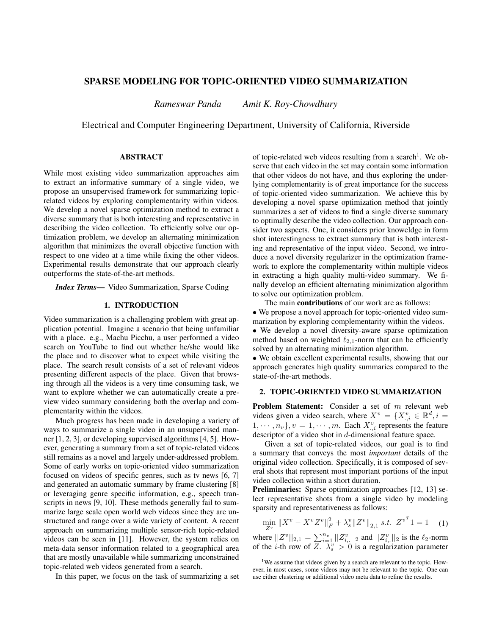# SPARSE MODELING FOR TOPIC-ORIENTED VIDEO SUMMARIZATION

*Rameswar Panda Amit K. Roy-Chowdhury*

Electrical and Computer Engineering Department, University of California, Riverside

# ABSTRACT

While most existing video summarization approaches aim to extract an informative summary of a single video, we propose an unsupervised framework for summarizing topicrelated videos by exploring complementarity within videos. We develop a novel sparse optimization method to extract a diverse summary that is both interesting and representative in describing the video collection. To efficiently solve our optimization problem, we develop an alternating minimization algorithm that minimizes the overall objective function with respect to one video at a time while fixing the other videos. Experimental results demonstrate that our approach clearly outperforms the state-of-the-art methods.

*Index Terms*— Video Summarization, Sparse Coding

### 1. INTRODUCTION

Video summarization is a challenging problem with great application potential. Imagine a scenario that being unfamiliar with a place. e.g., Machu Picchu, a user performed a video search on YouTube to find out whether he/she would like the place and to discover what to expect while visiting the place. The search result consists of a set of relevant videos presenting different aspects of the place. Given that browsing through all the videos is a very time consuming task, we want to explore whether we can automatically create a preview video summary considering both the overlap and complementarity within the videos.

Much progress has been made in developing a variety of ways to summarize a single video in an unsupervised manner [1, 2, 3], or developing supervised algorithms [4, 5]. However, generating a summary from a set of topic-related videos still remains as a novel and largely under-addressed problem. Some of early works on topic-oriented video summarization focused on videos of specific genres, such as tv news [6, 7] and generated an automatic summary by frame clustering [8] or leveraging genre specific information, e.g., speech transcripts in news [9, 10]. These methods generally fail to summarize large scale open world web videos since they are unstructured and range over a wide variety of content. A recent approach on summarizing multiple sensor-rich topic-related videos can be seen in [11]. However, the system relies on meta-data sensor information related to a geographical area that are mostly unavailable while summarizing unconstrained topic-related web videos generated from a search.

In this paper, we focus on the task of summarizing a set

of topic-related web videos resulting from a search<sup>1</sup>. We observe that each video in the set may contain some information that other videos do not have, and thus exploring the underlying complementarity is of great importance for the success of topic-oriented video summarization. We achieve this by developing a novel sparse optimization method that jointly summarizes a set of videos to find a single diverse summary to optimally describe the video collection. Our approach consider two aspects. One, it considers prior knoweldge in form shot interestingness to extract summary that is both interesting and representative of the input video. Second, we introduce a novel diversity regularizer in the optimization framework to explore the complementarity within multiple videos in extracting a high quality multi-video summary. We finally develop an efficient alternating minimization algorithm to solve our optimization problem.

The main **contributions** of our work are as follows: • We propose a novel approach for topic-oriented video summarization by exploring complementarity within the videos. • We develop a novel diversity-aware sparse optimization

method based on weighted  $\ell_{2,1}$ -norm that can be efficiently solved by an alternating minimization algorithm.

• We obtain excellent experimental results, showing that our approach generates high quality summaries compared to the state-of-the-art methods.

### 2. TOPIC-ORIENTED VIDEO SUMMARIZATION

Problem Statement: Consider a set of m relevant web videos given a video search, where  $X^v = \{X^v_{.,i} \in \mathbb{R}^d, i =$  $1, \dots, n_v$ ,  $v = 1, \dots, m$ . Each  $X_{i,i}^v$  represents the feature descriptor of a video shot in d-dimensional feature space.

Given a set of topic-related videos, our goal is to find a summary that conveys the most *important* details of the original video collection. Specifically, it is composed of several shots that represent most important portions of the input video collection within a short duration.

Preliminaries: Sparse optimization approaches [12, 13] select representative shots from a single video by modeling sparsity and representativeness as follows:

$$
\min_{Z^v} \|X^v - X^v Z^v\|_F^2 + \lambda_s^v \|Z^v\|_{2,1} \ s.t. \ Z^{v^T} 1 = 1 \quad (1)
$$

where  $||Z^v||_{2,1} = \sum_{i=1}^{n_v} ||Z_{i,1}^v||_2$  and  $||Z_{i,1}^v||_2$  is the  $\ell_2$ -norm of the *i*-th row of  $\overline{Z}$ .  $\lambda_s^v > 0$  is a regularization parameter

<sup>&</sup>lt;sup>1</sup>We assume that videos given by a search are relevant to the topic. However, in most cases, some videos may not be relevant to the topic. One can use either clustering or additional video meta data to refine the results.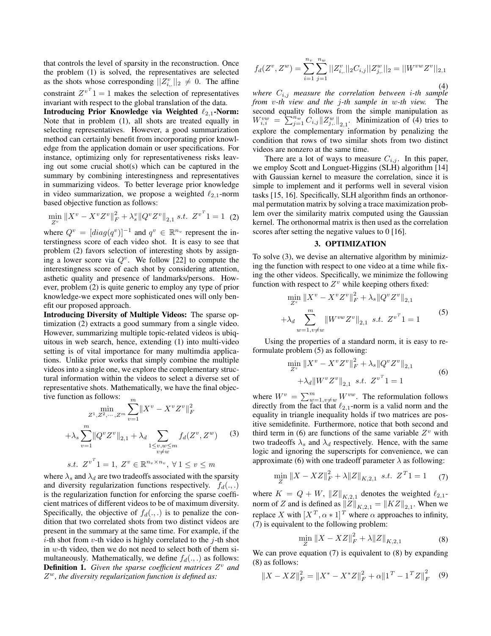that controls the level of sparsity in the reconstruction. Once the problem (1) is solved, the representatives are selected as the shots whose corresponding  $||Z_{i, \cdot}^{v}||_2 \neq 0$ . The affine constraint  $Z^{v^T}1 = 1$  makes the selection of representatives invariant with respect to the global translation of the data.

Introducing Prior Knowledge via Weighted  $\ell_{2,1}$ -Norm: Note that in problem (1), all shots are treated equally in selecting representatives. However, a good summarization method can certainly benefit from incorporating prior knowledge from the application domain or user specifications. For instance, optimizing only for representativeness risks leaving out some crucial shot(s) which can be captured in the summary by combining interestingness and representatives in summarizing videos. To better leverage prior knowledge in video summarization, we propose a weighted  $\ell_{2,1}$ -norm based objective function as follows:

$$
\min_{Z^v} \|X^v - X^v Z^v\|_F^2 + \lambda_s^v \|Q^v Z^v\|_{2,1} \ s.t. \ Z^{v^T}1 = 1 \tag{2}
$$

where  $Q^v = [diag(q^v)]^{-1}$  and  $q^v \in \mathbb{R}^{n_v}$  represent the interstingness score of each video shot. It is easy to see that problem (2) favors selection of interesting shots by assigning a lower score via  $Q^v$ . We follow [22] to compute the interestingness score of each shot by considering attention, asthetic quality and presence of landmarks/persons. However, problem (2) is quite generic to employ any type of prior knowledge-we expect more sophisticated ones will only benefit our proposed approach.

Introducing Diversity of Multiple Videos: The sparse optimization (2) extracts a good summary from a single video. However, summarizing multiple topic-related videos is ubiquitous in web search, hence, extending (1) into multi-video setting is of vital importance for many multimdia applications. Unlike prior works that simply combine the multiple videos into a single one, we explore the complementary structural information within the videos to select a diverse set of representative shots. Mathematically, we have the final objective function as follows:

$$
\min_{Z^1, Z^2, \dots, Z^m} \sum_{v=1}^m \|X^v - X^v Z^v\|_F^2
$$
\n
$$
+ \lambda_s \sum_{v=1}^m \|Q^v Z^v\|_{2,1} + \lambda_d \sum_{\substack{1 \le v, w \le m \\ v \ne w}} f_d(Z^v, Z^w) \tag{3}
$$
\n
$$
s.t. \ Z^{v^T}1 = 1, \ Z^v \in \mathbb{R}^{n_v \times n_v}, \ \forall 1 \le v \le m
$$

where  $\lambda_s$  and  $\lambda_d$  are two tradeoffs associated with the sparsity and diversity regularization functions respectively.  $f_d(.,.)$ is the regularization function for enforcing the sparse coefficient matrices of different videos to be of maximum diversity. Specifically, the objective of  $f_d(.,.)$  is to penalize the condition that two correlated shots from two distinct videos are present in the summary at the same time. For example, if the *i*-th shot from *v*-th video is highly correlated to the *j*-th shot in w-th video, then we do not need to select both of them simultaneously. Mathematically, we define  $f_d(.,.)$  as follows: **Definition 1.** Given the sparse coefficient matrices  $Z^v$  and Z <sup>w</sup>*, the diversity regularization function is defined as:*

$$
f_d(Z^v, Z^w) = \sum_{i=1}^{n_v} \sum_{j=1}^{n_w} ||Z_{i, \cdot}^v||_2 C_{i, j} ||Z_{j, \cdot}^w||_2 = ||W^{vw} Z^v||_{2, 1}
$$
\n(4)

*where* Ci,j *measure the correlation between* i*-th sample from* v*-th view and the* j*-th sample in* w*-th view.* The second equality follows from the simple manipulation as  $W_{i,i}^{vw} = \sum_{j=1}^{n_w} C_{i,j} ||Z_{j,}^w||_{2,1}$ . Minimization of (4) tries to explore the complementary information by penalizing the condition that rows of two similar shots from two distinct videos are nonzero at the same time.

There are a lot of ways to measure  $C_{i,j}$ . In this paper, we employ Scott and Longuet-Higgins (SLH) algorithm [14] with Gaussian kernel to measure the correlation, since it is simple to implement and it performs well in several vision tasks [15, 16]. Specifically, SLH algorithm finds an orthonormal permutation matrix by solving a trace maximization problem over the similarity matrix computed using the Gaussian kernel. The orthonormal matrix is then used as the correlation scores after setting the negative values to 0 [16].

#### 3. OPTIMIZATION

To solve (3), we devise an alternative algorithm by minimizing the function with respect to one video at a time while fixing the other videos. Specifically, we minimize the following function with respect to  $Z^v$  while keeping others fixed:

$$
\min_{Z^v} \|X^v - X^v Z^v\|_F^2 + \lambda_s \|Q^v Z^v\|_{2,1}
$$
  
+ 
$$
\lambda_d \sum_{w=1, v \neq w}^m \|W^{vw} Z^v\|_{2,1} \text{ s.t. } Z^{v^T}1 = 1
$$
 (5)

Using the properties of a standard norm, it is easy to reformulate problem (5) as following:

$$
\min_{Z^v} \|X^v - X^v Z^v\|_F^2 + \lambda_s \|Q^v Z^v\|_{2,1} + \lambda_d \|W^v Z^v\|_{2,1} \quad s.t. \quad Z^{v^T}1 = 1
$$
\n(6)

where  $W^v = \sum_{w=1, v \neq w}^{m} W^{vw}$ . The reformulation follows directly from the fact that  $\ell_{2,1}$ -norm is a valid norm and the equality in triangle inequality holds if two matrices are positive semidefinite. Furthermore, notice that both second and third term in (6) are functions of the same variable  $Z^v$  with two tradeoffs  $\lambda_s$  and  $\lambda_d$  respectively. Hence, with the same logic and ignoring the superscripts for convenience, we can approximate (6) with one tradeoff parameter  $\lambda$  as following:

$$
\min_{Z} \|X - XZ\|_{F}^{2} + \lambda \|Z\|_{K,2,1} \ \text{ s.t. } Z^{T}1 = 1 \tag{7}
$$

where  $K = Q + W$ ,  $||Z||_{K,2,1}$  denotes the weighted  $\ell_{2,1}$ norm of Z and is defined as  $||Z||_{K,2,1} = ||KZ||_{2,1}$ . When we replace X with  $[X^T, \alpha * 1]^T$  where  $\alpha$  approaches to infinity, (7) is equivalent to the following problem:

$$
\min_{Z} \|X - XZ\|_{F}^{2} + \lambda \|Z\|_{K,2,1} \tag{8}
$$

We can prove equation (7) is equivalent to (8) by expanding (8) as follows:

$$
||X - XZ||_F^2 = ||X^* - X^*Z||_F^2 + \alpha ||1^T - 1^T Z||_F^2 \quad (9)
$$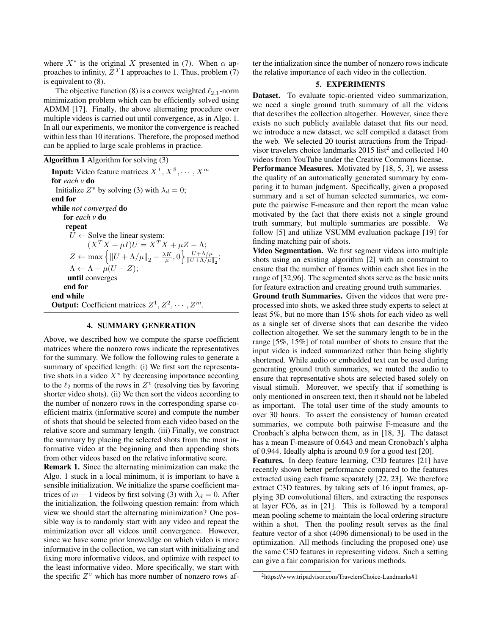where  $X^*$  is the original X presented in (7). When  $\alpha$  approaches to infinity,  $Z<sup>T</sup>1$  approaches to 1. Thus, problem (7) is equivalent to (8).

The objective function (8) is a convex weighted  $\ell_{2,1}$ -norm minimization problem which can be efficiently solved using ADMM [17]. Finally, the above alternating procedure over multiple videos is carried out until convergence, as in Algo. 1. In all our experiments, we monitor the convergence is reached within less than 10 iterations. Therefore, the proposed method can be applied to large scale problems in practice.

Algorithm 1 Algorithm for solving (3)

**Input:** Video feature matrices  $X^1, X^2, \dots, X^m$ for *each v* do Initialize  $Z^v$  by solving (3) with  $\lambda_d = 0$ ; end for while *not converged* do for *each v* do repeat  $\overline{U}$  ← Solve the linear system:  $(X^T X + \mu I)U = X^T X + \mu Z - \Lambda;$  $Z \leftarrow \max\left\{ ||U + \Lambda/\mu||_2 - \frac{\lambda K}{\mu}, 0 \right\} \frac{U + \Lambda/\mu}{||U + \Lambda/\mu||_2}$  $\frac{U + \Lambda/\mu}{\|U + \Lambda/\mu\|_2};$  $\Lambda \leftarrow \Lambda + \mu(U - Z);$ until converges end for end while **Output:** Coefficient matrices  $Z^1, Z^2, \cdots, Z^m$ .

### 4. SUMMARY GENERATION

Above, we described how we compute the sparse coefficient matrices where the nonzero rows indicate the representatives for the summary. We follow the following rules to generate a summary of specified length: (i) We first sort the representative shots in a video  $X^v$  by decreasing importance according to the  $\ell_2$  norms of the rows in  $Z^v$  (resolving ties by favoring shorter video shots). (ii) We then sort the videos according to the number of nonzero rows in the corresponding sparse coefficient matrix (informative score) and compute the number of shots that should be selected from each video based on the relative score and summary length. (iii) Finally, we construct the summary by placing the selected shots from the most informative video at the beginning and then appending shots from other videos based on the relative informative score.

Remark 1. Since the alternating minimization can make the Algo. 1 stuck in a local minimum, it is important to have a sensible initialization. We initialize the sparse coefficient matrices of  $m - 1$  videos by first solving (3) with  $\lambda_d = 0$ . After the initialization, the follwoing question remain: from which view we should start the alternating minimization? One possible way is to randomly start with any video and repeat the minimization over all videos until convergence. However, since we have some prior knoweldge on which video is more informative in the collection, we can start with initializing and fixing more informative videos, and optimize with respect to the least informative video. More specifically, we start with the specific  $Z^v$  which has more number of nonzero rows after the intialization since the number of nonzero rows indicate the relative importance of each video in the collection.

## 5. EXPERIMENTS

Dataset. To evaluate topic-oriented video summarization, we need a single ground truth summary of all the videos that describes the collection altogether. However, since there exists no such publicly available dataset that fits our need, we introduce a new dataset, we self compiled a dataset from the web. We selected 20 tourist attractions from the Tripadvisor travelers choice landmarks  $2015$  list<sup>2</sup> and collected 140 videos from YouTube under the Creative Commons license.

Performance Measures. Motivated by [18, 5, 3], we assess the quality of an automatically generated summary by comparing it to human judgment. Specifically, given a proposed summary and a set of human selected summaries, we compute the pairwise F-measure and then report the mean value motivated by the fact that there exists not a single ground truth summary, but multiple summaries are possible. We follow [5] and utilize VSUMM evaluation package [19] for finding matching pair of shots.

Video Segmentation. We first segment videos into multiple shots using an existing algorithm [2] with an constraint to ensure that the number of frames within each shot lies in the range of [32,96]. The segmented shots serve as the basic units for feature extraction and creating ground truth summaries.

Ground truth Summaries. Given the videos that were preprocessed into shots, we asked three study experts to select at least 5%, but no more than 15% shots for each video as well as a single set of diverse shots that can describe the video collection altogether. We set the summary length to be in the range [5%, 15%] of total number of shots to ensure that the input video is indeed summarized rather than being slightly shortened. While audio or embedded text can be used during generating ground truth summaries, we muted the audio to ensure that representative shots are selected based solely on visual stimuli. Moreover, we specify that if something is only mentioned in onscreen text, then it should not be labeled as important. The total user time of the study amounts to over 30 hours. To assert the consistency of human created summaries, we compute both pairwise F-measure and the Cronbach's alpha between them, as in [18, 3]. The dataset has a mean F-measure of 0.643 and mean Cronobach's alpha of 0.944. Ideally alpha is around 0.9 for a good test [20].

Features. In deep feature learning, C3D features [21] have recently shown better performance compared to the features extracted using each frame separately [22, 23]. We therefore extract C3D features, by taking sets of 16 input frames, applying 3D convolutional filters, and extracting the responses at layer FC6, as in [21]. This is followed by a temporal mean pooling scheme to maintain the local ordering structure within a shot. Then the pooling result serves as the final feature vector of a shot (4096 dimensional) to be used in the optimization. All methods (including the proposed one) use the same C3D features in representing videos. Such a setting can give a fair comparision for various methods.

<sup>2</sup>https://www.tripadvisor.com/TravelersChoice-Landmarks#1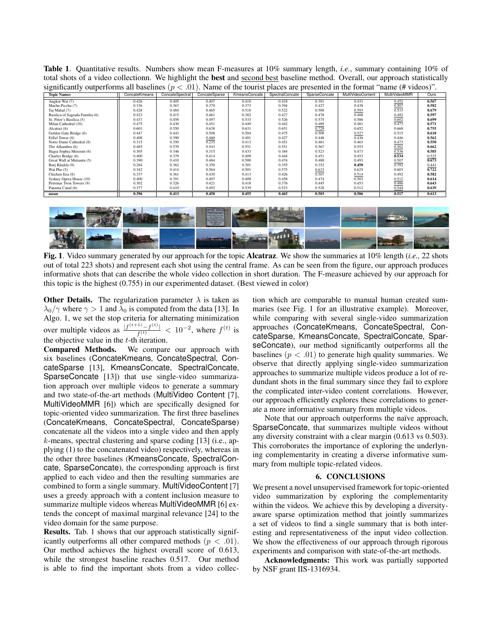Table 1. Quantitative results. Numbers show mean F-measures at 10% summary length, *i.e.*, summary containing 10% of total shots of a video collectionn. We highlight the best and second best baseline method. Overall, our approach statistically significantly outperforms all baselines ( $p < .01$ ). Name of the tourist places are presented in the format "name (# videos)".

| <b>Topic Names</b>              | ConcateKmeans | ConcateSpectral | ConcateSparse | KmeansConcate | SpectralConcate | SparseConcate | MultiVideoContent | MultiVideoMMR | Ours  |
|---------------------------------|---------------|-----------------|---------------|---------------|-----------------|---------------|-------------------|---------------|-------|
| Angkor Wat (7)                  | 0.426         | 0.405           | 0.407         | 0.418         | 0.418           | 0.391         | 0.431             | 0.452         | 0.567 |
| Machu Picchu (7)                | 0.336         | 0.367           | 0.379         | 0.373         | 0.394           | 0.427         | 0.438             | 0.507         | 0.582 |
| Taj Mahal (7)                   | 0.428         | 0.484           | 0.465         | 0.518         | 0.522           | 0.588         | 0.593             | 0.533         | 0.679 |
| Basilica of Sagrada Familia (6) | 0.423         | 0.415           | 0.461         | 0.382         | 0.427           | 0.478         | 0.488             | 0.492         | 0.597 |
| St. Peter's Basilica (5)        | 0.437         | 0.458           | 0.497         | 0.533         | 0.526           | 0.575         | 0.586             | 0.602         | 0.699 |
| Milan Cathedral (10)            | 0.475         | 0.430           | 0.451         | 0.449         | 0.442           | 0.489         | 0.481             | 0.473         | 0.571 |
| Alcatraz (6)                    | 0.601         | 0.550           | 0.638         | 0.631         | 0.651           | 0.729         | 0.652             | 0.668         | 0.755 |
| Golden Gate Bridge (6)          | 0.447         | 0.443           | 0.508         | 0.504         | 0.475           | 0.509         | 0.527             | 0.515         | 0.618 |
| Eiffel Tower (8)                | 0.408         | 0.390           | 0.460         | 0.401         | 0.427           | 0.448         | 0.436             | 0.446         | 0.562 |
| Notre Dame Cathedral (8)        | 0.315         | 0.350           | 0.235         | 0.413         | 0.451           | 0.461         | 0.463             | 0.473         | 0.550 |
| The Alhambra (6)                | 0.485         | 0.570           | 0.543         | 0.551         | 0.551           | 0.567         | 0.553             | 0.582         | 0.662 |
| Hagia Sophia Museum (6)         | 0.305         | 0.346           | 0.315         | 0.433         | 0.384           | 0.523         | 0.473             | 0.536         | 0.585 |
| Charles Bridge (6)              | 0.400         | 0.379           | 0.414         | 0.409         | 0.444           | 0.451         | 0.453             | 0.534         | 0.525 |
| Great Wall at Mutiantu (5)      | 0.390         | 0.410           | 0.484         | 0.500         | 0.474           | 0.488         | 0.493             | 0.507         | 0.673 |
| Burj Khalifa (9)                | 0.284         | 0.362           | 0.350         | 0.301         | 0.355           | 0.352         | 0.450             | 0.392         | 0.441 |
| Wat Pho $(5)$                   | 0.342         | 0.414           | 0.564         | 0.501         | 0.575           | 0.633         | 0.625             | 0.603         | 0.722 |
| Chichen Itza (8)                | 0.337         | 0.361           | 0.430         | 0.413         | 0.426           | 0.507         | 0.514             | 0.492         | 0.582 |
| Sydney Opera House (10)         | 0.400         | 0.391           | 0.497         | 0.409         | 0.458           | 0.474         | 0.503             | 0.512         | 0.614 |
| Petronas Twin Towers (9)        | 0.302         | 0.326           | 0.421         | 0.418         | 0.376           | 0.445         | 0.453             | 0.486         | 0.643 |
| Panama Canal (6)                | 0.377         | 0.410           | 0.492         | 0.539         | 0.523           | 0.528         | 0.512             | 0.544         | 0.639 |
| mean                            | 0.396         | 0.413           | 0.450         | 0.455         | 0.465           | 0.503         | 0.506             | 0.517         | 0.613 |



Fig. 1. Video summary generated by our approach for the topic Alcatraz. We show the summaries at 10% length (*i.e.,* 22 shots out of total 223 shots) and represent each shot using the central frame. As can be seen from the figure, our approach produces informative shots that can describe the whole video collection in short duration. The F-measure achieved by our approach for this topic is the highest (0.755) in our experimented dataset. (Best viewed in color)

**Other Details.** The regularization parameter  $\lambda$  is taken as  $\lambda_0/\gamma$  where  $\gamma > 1$  and  $\lambda_0$  is computed from the data [13]. In Algo. 1, we set the stop criteria for alternating minimization over multiple videos as  $\frac{|f^{(t+1)} - f^{(t)}|}{f(t)}$  $\frac{f^{(t)} - f^{(t)}}{f^{(t)}}$  < 10<sup>-2</sup>, where  $f^{(t)}$  is the objective value in the  $t$ -th iteration.

Compared Methods. We compare our approach with six baselines (ConcateKmeans, ConcateSpectral, ConcateSparse [13], KmeansConcate, SpectralConcate, SparseConcate [13]) that use single-video summarization approach over multiple videos to generate a summary and two state-of-the-art methods (MultiVideo Content [7], MultiVideoMMR [6]) which are specifically designed for topic-oriented video summarization. The first three baselines (ConcateKmeans, ConcateSpectral, ConcateSparse) concatenate all the videos into a single video and then apply k-means, spectral clustering and sparse coding [13] (i.e., applying (1) to the concatenated video) respectively, whereas in the other three baselines (KmeansConcate, SpectralConcate, SparseConcate), the corresponding approach is first applied to each video and then the resulting summaries are combined to form a single summary. MultiVideoContent [7] uses a greedy approach with a content inclusion measure to summarize multiple videos whereas MultiVideoMMR [6] extends the concept of maximal marginal relevance [24] to the video domain for the same purpose.

Results. Tab. 1 shows that our approach statistically significantly outperforms all other compared methods ( $p < .01$ ). Our method achieves the highest overall score of 0.613, while the strongest baseline reaches 0.517. Our method is able to find the important shots from a video collection which are comparable to manual human created summaries (see Fig. 1 for an illustrative example). Moreover, while comparing with several single-video summarization approaches (ConcateKmeans, ConcateSpectral, ConcateSparse, KmeansConcate, SpectralConcate, SparseConcate), our method significantly outperforms all the baselines ( $p < .01$ ) to generate high quality summaries. We observe that directly applying single-video summarization approaches to summarize multiple videos produce a lot of redundant shots in the final summary since they fail to explore the complicated inter-video content correlations. However, our approach efficiently explores these correlations to generate a more informative summary from multiple videos.

Note that our approach outperforms the naïve approach, SparseConcate, that summarizes multiple videos without any diversity constraint with a clear margin (0.613 vs 0.503). This corroborates the importance of exploring the underlyning complementarity in creating a diverse informative summary from multiple topic-related videos.

### 6. CONCLUSIONS

We present a novel unsupervised framework for topic-oriented video summarization by exploring the complementarity within the videos. We achieve this by developing a diversityaware sparse optimization method that jointly summarizes a set of videos to find a single summary that is both interesting and representativeness of the input video collection. We show the effectiveness of our approach through rigorous experiments and comparison with state-of-the-art methods.

Acknowledgments: This work was partially supported by NSF grant IIS-1316934.